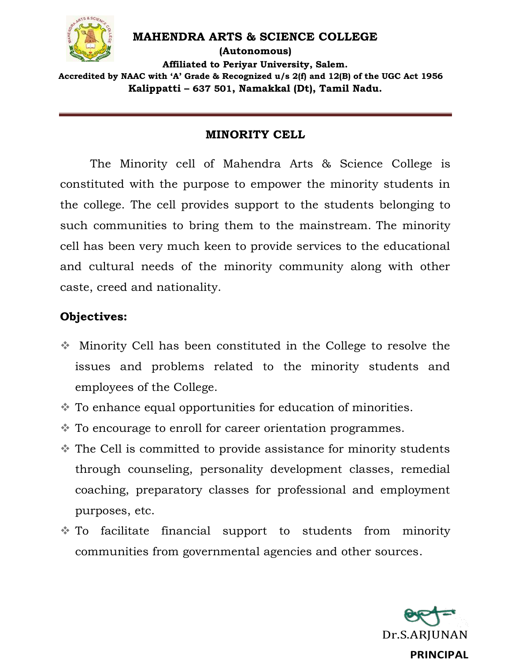

#### **MAHENDRA ARTS & SCIENCE COLLEGE**

**(Autonomous) Affiliated to Periyar University, Salem. Accredited by NAAC with 'A' Grade & Recognized u/s 2(f) and 12(B) of the UGC Act 1956 Kalippatti – 637 501, Namakkal (Dt), Tamil Nadu.**

## **MINORITY CELL**

The Minority cell of Mahendra Arts & Science College is constituted with the purpose to empower the minority students in the college. The cell provides support to the students belonging to such communities to bring them to the mainstream. The minority cell has been very much keen to provide services to the educational and cultural needs of the minority community along with other caste, creed and nationality.

## **Objectives:**

- Minority Cell has been constituted in the College to resolve the issues and problems related to the minority students and employees of the College.
- To enhance equal opportunities for education of minorities.
- To encourage to enroll for career orientation programmes.
- The Cell is committed to provide assistance for minority students through counseling, personality development classes, remedial coaching, preparatory classes for professional and employment purposes, etc.
- To facilitate financial support to students from minority communities from governmental agencies and other sources.